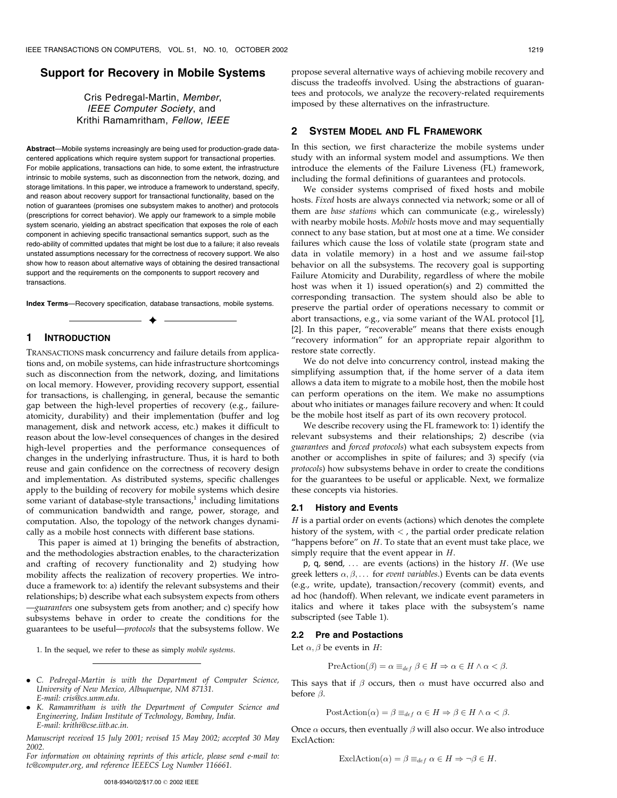# Support for Recovery in Mobile Systems

Cris Pedregal-Martin, Member, IEEE Computer Society, and Krithi Ramamritham, Fellow, IEEE

Abstract-Mobile systems increasingly are being used for production-grade datacentered applications which require system support for transactional properties. For mobile applications, transactions can hide, to some extent, the infrastructure intrinsic to mobile systems, such as disconnection from the network, dozing, and storage limitations. In this paper, we introduce a framework to understand, specify, and reason about recovery support for transactional functionality, based on the notion of guarantees (promises one subsystem makes to another) and protocols (prescriptions for correct behavior). We apply our framework to a simple mobile system scenario, yielding an abstract specification that exposes the role of each component in achieving specific transactional semantics support, such as the redo-ability of committed updates that might be lost due to a failure; it also reveals unstated assumptions necessary for the correctness of recovery support. We also show how to reason about alternative ways of obtaining the desired transactional support and the requirements on the components to support recovery and transactions.

Index Terms—Recovery specification, database transactions, mobile systems.  $\ddotmark$ 

### 1 INTRODUCTION

TRANSACTIONS mask concurrency and failure details from applications and, on mobile systems, can hide infrastructure shortcomings such as disconnection from the network, dozing, and limitations on local memory. However, providing recovery support, essential for transactions, is challenging, in general, because the semantic gap between the high-level properties of recovery (e.g., failureatomicity, durability) and their implementation (buffer and log management, disk and network access, etc.) makes it difficult to reason about the low-level consequences of changes in the desired high-level properties and the performance consequences of changes in the underlying infrastructure. Thus, it is hard to both reuse and gain confidence on the correctness of recovery design and implementation. As distributed systems, specific challenges apply to the building of recovery for mobile systems which desire some variant of database-style transactions, $1$  including limitations of communication bandwidth and range, power, storage, and computation. Also, the topology of the network changes dynamically as a mobile host connects with different base stations.

This paper is aimed at 1) bringing the benefits of abstraction, and the methodologies abstraction enables, to the characterization and crafting of recovery functionality and 2) studying how mobility affects the realization of recovery properties. We introduce a framework to: a) identify the relevant subsystems and their relationships; b) describe what each subsystem expects from others —guarantees one subsystem gets from another; and c) specify how subsystems behave in order to create the conditions for the guarantees to be useful—protocols that the subsystems follow. We

1. In the sequel, we refer to these as simply mobile systems.

- . C. Pedregal-Martin is with the Department of Computer Science, University of New Mexico, Albuquerque, NM 87131. E-mail: cris@cs.unm.edu.
- . K. Ramamritham is with the Department of Computer Science and Engineering, Indian Institute of Technology, Bombay, India. E-mail: krithi@cse.iitb.ac.in.

Manuscript received 15 July 2001; revised 15 May 2002; accepted 30 May 2002.

For information on obtaining reprints of this article, please send e-mail to: tc@computer.org, and reference IEEECS Log Number 116661.

propose several alternative ways of achieving mobile recovery and discuss the tradeoffs involved. Using the abstractions of guarantees and protocols, we analyze the recovery-related requirements imposed by these alternatives on the infrastructure.

### 2 SYSTEM MODEL AND FL FRAMEWORK

In this section, we first characterize the mobile systems under study with an informal system model and assumptions. We then introduce the elements of the Failure Liveness (FL) framework, including the formal definitions of guarantees and protocols.

We consider systems comprised of fixed hosts and mobile hosts. Fixed hosts are always connected via network; some or all of them are base stations which can communicate (e.g., wirelessly) with nearby mobile hosts. Mobile hosts move and may sequentially connect to any base station, but at most one at a time. We consider failures which cause the loss of volatile state (program state and data in volatile memory) in a host and we assume fail-stop behavior on all the subsystems. The recovery goal is supporting Failure Atomicity and Durability, regardless of where the mobile host was when it 1) issued operation(s) and 2) committed the corresponding transaction. The system should also be able to preserve the partial order of operations necessary to commit or abort transactions, e.g., via some variant of the WAL protocol [1], [2]. In this paper, "recoverable" means that there exists enough "recovery information" for an appropriate repair algorithm to restore state correctly.

We do not delve into concurrency control, instead making the simplifying assumption that, if the home server of a data item allows a data item to migrate to a mobile host, then the mobile host can perform operations on the item. We make no assumptions about who initiates or manages failure recovery and when: It could be the mobile host itself as part of its own recovery protocol.

We describe recovery using the FL framework to: 1) identify the relevant subsystems and their relationships; 2) describe (via guarantees and forced protocols) what each subsystem expects from another or accomplishes in spite of failures; and 3) specify (via protocols) how subsystems behave in order to create the conditions for the guarantees to be useful or applicable. Next, we formalize these concepts via histories.

#### 2.1 History and Events

 $H$  is a partial order on events (actions) which denotes the complete history of the system, with  $\langle$ , the partial order predicate relation "happens before" on  $H$ . To state that an event must take place, we simply require that the event appear in H.

p, q, send,  $\ldots$  are events (actions) in the history  $H$ . (We use greek letters  $\alpha, \beta, \ldots$  for event variables.) Events can be data events (e.g., write, update), transaction/recovery (commit) events, and ad hoc (handoff). When relevant, we indicate event parameters in italics and where it takes place with the subsystem's name subscripted (see Table 1).

#### 2.2 Pre and Postactions

Let  $\alpha$ ,  $\beta$  be events in *H*:

$$
PreAction(\beta) = \alpha \equiv_{def} \beta \in H \Rightarrow \alpha \in H \wedge \alpha < \beta.
$$

This says that if  $\beta$  occurs, then  $\alpha$  must have occurred also and before  $\beta$ .

$$
PostAction(\alpha) = \beta \equiv_{def} \alpha \in H \Rightarrow \beta \in H \wedge \alpha < \beta.
$$

Once  $\alpha$  occurs, then eventually  $\beta$  will also occur. We also introduce ExclAction:

$$
\text{ExclAction}(\alpha) = \beta \equiv_{def} \alpha \in H \Rightarrow \neg \beta \in H.
$$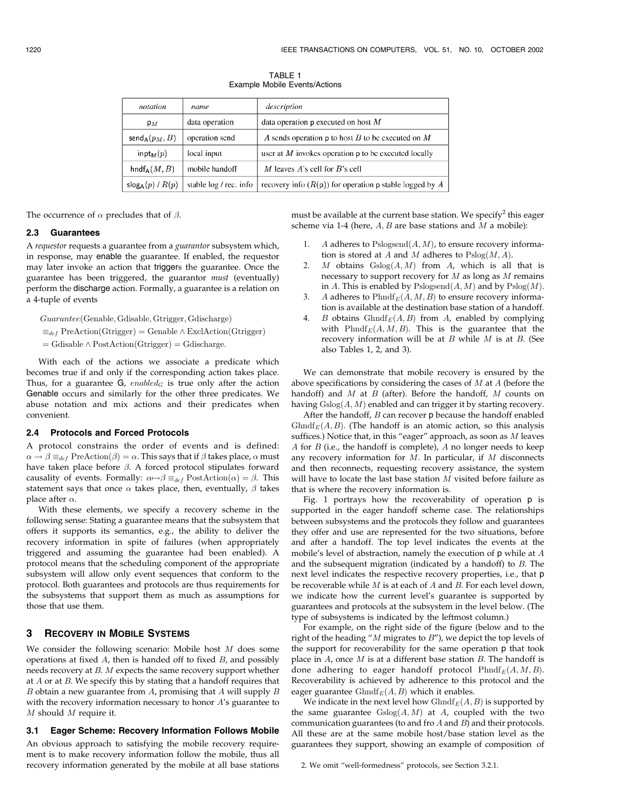| notation             | name                   | description                                               |
|----------------------|------------------------|-----------------------------------------------------------|
| $p_M$                | data operation         | data operation $p$ executed on host $M$                   |
| $send_A(p_M, B)$     | operation send         | A sends operation $p$ to host B to be executed on M       |
| $input_{M}(p)$       | local input            | user at $M$ invokes operation $p$ to be executed locally  |
| $hndf_A(M, B)$       | mobile handoff         | M leaves A's cell for $B$ 's cell                         |
| $\log_A(p)$ / $R(p)$ | stable log / rec. info | recovery info $(R(p))$ for operation p stable logged by A |

TABLE 1 Example Mobile Events/Actions

The occurrence of  $\alpha$  precludes that of  $\beta$ .

#### 2.3 Guarantees

A requestor requests a guarantee from a guarantor subsystem which, in response, may enable the guarantee. If enabled, the requestor may later invoke an action that triggers the guarantee. Once the guarantee has been triggered, the guarantor must (eventually) perform the discharge action. Formally, a guarantee is a relation on a 4-tuple of events

 $Guarantee$ (Genable, Gdisable, Gtrigger, Gdischarge)

$$
\equiv_{def} \text{PreAction}(\text{Grigger}) = \text{Genable} \land \text{ExclAction}(\text{Grigger})
$$

 $=$  Gdisable  $\land$  PostAction(Gtrigger) = Gdischarge.

With each of the actions we associate a predicate which becomes true if and only if the corresponding action takes place. Thus, for a guarantee  $G$ , enabled<sub>G</sub> is true only after the action Genable occurs and similarly for the other three predicates. We abuse notation and mix actions and their predicates when convenient.

#### 2.4 Protocols and Forced Protocols

A protocol constrains the order of events and is defined:  $\alpha \rightarrow \beta \equiv_{def} \text{PreAction}(\beta) = \alpha$ . This says that if  $\beta$  takes place,  $\alpha$  must have taken place before  $\beta$ . A forced protocol stipulates forward causality of events. Formally:  $\alpha \mapsto \beta \equiv_{def} \text{PostAction}(\alpha) = \beta$ . This statement says that once  $\alpha$  takes place, then, eventually,  $\beta$  takes place after  $\alpha$ .

With these elements, we specify a recovery scheme in the following sense: Stating a guarantee means that the subsystem that offers it supports its semantics, e.g., the ability to deliver the recovery information in spite of failures (when appropriately triggered and assuming the guarantee had been enabled). A protocol means that the scheduling component of the appropriate subsystem will allow only event sequences that conform to the protocol. Both guarantees and protocols are thus requirements for the subsystems that support them as much as assumptions for those that use them.

# 3 RECOVERY IN MOBILE SYSTEMS

We consider the following scenario: Mobile host  $M$  does some operations at fixed  $A$ , then is handed off to fixed  $B$ , and possibly needs recovery at B. M expects the same recovery support whether at  $A$  or at  $B$ . We specify this by stating that a handoff requires that  $B$  obtain a new guarantee from  $A$ , promising that  $A$  will supply  $B$ with the recovery information necessary to honor A's guarantee to  $M$  should  $M$  require it.

# 3.1 Eager Scheme: Recovery Information Follows Mobile

An obvious approach to satisfying the mobile recovery requirement is to make recovery information follow the mobile, thus all recovery information generated by the mobile at all base stations must be available at the current base station. We specify<sup>2</sup> this eager scheme via 1-4 (here,  $A, B$  are base stations and  $M$  a mobile):

- A adheres to  $\text{Pslogsend}(A, M)$ , to ensure recovery information is stored at A and M adheres to  $P\text{slog}(M, A)$ .
- 2. M obtains  $Gslog(A, M)$  from A, which is all that is necessary to support recovery for  $M$  as long as  $M$  remains in A. This is enabled by  $\text{Pslogsend}(A, M)$  and by  $\text{Pslog}(M)$ .
- 3. A adheres to  $\text{Phndf}_E(A, M, B)$  to ensure recovery information is available at the destination base station of a handoff.
- 4. *B* obtains  $\text{Ghndf}_E(A, B)$  from *A*, enabled by complying with  $\text{Phndf}_E(A, M, B)$ . This is the guarantee that the recovery information will be at  $B$  while  $M$  is at  $B$ . (See also Tables 1, 2, and 3).

We can demonstrate that mobile recovery is ensured by the above specifications by considering the cases of  $M$  at  $A$  (before the handoff) and  $M$  at  $B$  (after). Before the handoff,  $M$  counts on having  $\text{Gslog}(A, M)$  enabled and can trigger it by starting recovery.

After the handoff,  $B$  can recover  $p$  because the handoff enabled  $Ghndf_E(A, B)$ . (The handoff is an atomic action, so this analysis suffices.) Notice that, in this "eager" approach, as soon as M leaves  $A$  for  $B$  (i.e., the handoff is complete),  $A$  no longer needs to keep any recovery information for  $M$ . In particular, if  $M$  disconnects and then reconnects, requesting recovery assistance, the system will have to locate the last base station M visited before failure as that is where the recovery information is.

Fig. 1 portrays how the recoverability of operation p is supported in the eager handoff scheme case. The relationships between subsystems and the protocols they follow and guarantees they offer and use are represented for the two situations, before and after a handoff. The top level indicates the events at the mobile's level of abstraction, namely the execution of p while at A and the subsequent migration (indicated by a handoff) to  $B$ . The next level indicates the respective recovery properties, i.e., that p be recoverable while  $M$  is at each of  $A$  and  $B$ . For each level down, we indicate how the current level's guarantee is supported by guarantees and protocols at the subsystem in the level below. (The type of subsystems is indicated by the leftmost column.)

For example, on the right side of the figure (below and to the right of the heading "M migrates to  $B$ "), we depict the top levels of the support for recoverability for the same operation p that took place in  $A$ , once  $M$  is at a different base station  $B$ . The handoff is done adhering to eager handoff protocol  $Phndf_E(A, M, B)$ . Recoverability is achieved by adherence to this protocol and the eager guarantee  $\text{Ghndf}_E(A, B)$  which it enables.

We indicate in the next level how  $\text{Ghndf}_E(A, B)$  is supported by the same guarantee  $Gslog(A, M)$  at A, coupled with the two communication guarantees (to and fro A and B) and their protocols. All these are at the same mobile host/base station level as the guarantees they support, showing an example of composition of

2. We omit "well-formedness" protocols, see Section 3.2.1.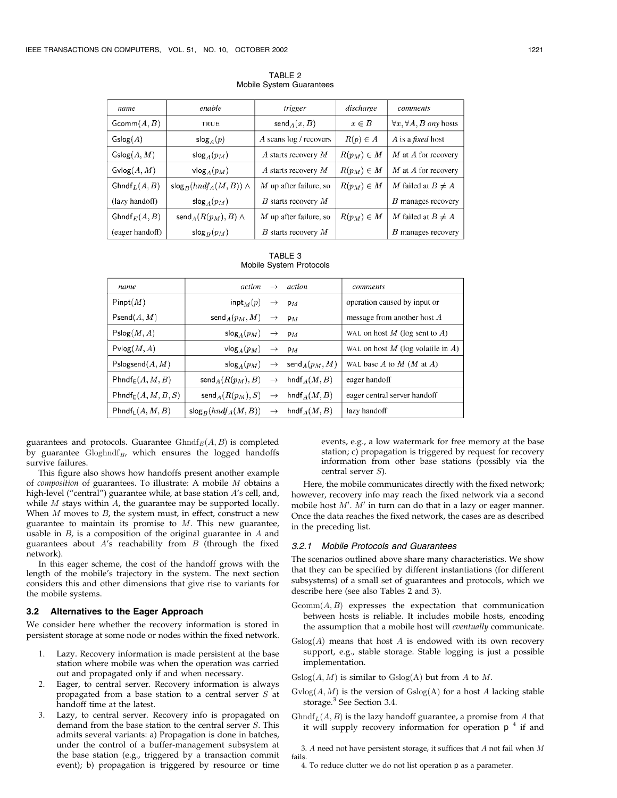| name                    | enable                        | trigger                       | discharge      | comments                            |
|-------------------------|-------------------------------|-------------------------------|----------------|-------------------------------------|
| Gcomm(A, B)             | TRUE                          | $\mathsf{send}_A(x, B)$       | $x \in B$      | $\forall x, \forall A, B$ any hosts |
| $G\text{slog}(A)$       | $\log_{A}(p)$                 | A scans log / recovers        | $R(p) \in A$   | A is a fixed host                   |
| ${\sf Gslog}(A,M)$      | $\log_A(p_M)$                 | $\Lambda$ starts recovery $M$ | $R(p_M) \in M$ | $M$ at $A$ for recovery             |
| Gvlog(A, M)             | $\mathsf{vlog}_A(p_M)$        | $\Lambda$ starts recovery $M$ | $R(p_M) \in M$ | M at A for recovery                 |
| $G$ hndf $_L(A, B)$     | $\log_B(hndf_A(M, B)) \wedge$ | $M$ up after failure, so      | $R(p_M) \in M$ | M failed at $B \neq A$              |
| (lazy handoff)          | $\log_A(p_M)$                 | $B$ starts recovery $M$       |                | $B$ manages recovery                |
| $\mathsf{Ghndf}_E(A,B)$ | send $_A(R(p_M), B) \wedge$   | $M$ up after failure, so      | $R(p_M) \in M$ | M failed at $B \neq A$              |
| (eager handoff)         | $\log_B(p_M)$                 | $B$ starts recovery $M$       |                | <i>B</i> manages recovery           |

TARI F 2 Mobile System Guarantees

TABLE 3 Mobile System Protocols

| name                           | action                                | $\rightarrow$ | action                          | comments                               |
|--------------------------------|---------------------------------------|---------------|---------------------------------|----------------------------------------|
| Pinpt(M)                       | $\mathsf{input}_M(p)$                 | $\rightarrow$ | $P_M$                           | operation caused by input or           |
| Psend(A, M)                    | $\mathsf{send}_A(p_M, M)$             | $\rightarrow$ | $P_M$                           | message from another host $A$          |
| $P\mathsf{slog}(M, A)$         | $\log_A(p_M)$                         | $\rightarrow$ | PM                              | WAL on host $M$ (log sent to $A$ )     |
| $P\mathsf{vlog}(M, A)$         | $\mathsf{vlog}_A(p_M)$                | $\rightarrow$ | $P_M$                           | WAL on host $M$ (log volatile in $A$ ) |
| $\mathsf{Pslogsend}(A, M)$     | $\log_A(p_M)$                         |               | $\rightarrow$ send $_A(p_M, M)$ | WAL base $A$ to $M$ ( $M$ at $A$ )     |
| $Phndf_E(A, M, B)$             | $\mathsf{send}_A(R(p_M), B)$          |               | $\rightarrow$ hndf $_A(M, B)$   | eager handoff                          |
| $Phndf_E(A, M, B, S)$          | $\mathsf{send}_A(R(p_M), S)$          |               | $\rightarrow$ hndf $_A(M, B)$   | eager central server handoff           |
| Phndf <sub>1</sub> $(A, M, B)$ | $\operatorname{slog}_B(hndf_A(M, B))$ | $\rightarrow$ | hndf $_A(M, B)$                 | lazy handoff                           |

guarantees and protocols. Guarantee  $\text{Ghndf}_E(A, B)$  is completed by guarantee  $G$ loghndf<sub>B</sub>, which ensures the logged handoffs survive failures.

This figure also shows how handoffs present another example of composition of guarantees. To illustrate: A mobile M obtains a high-level ("central") guarantee while, at base station A's cell, and, while  $M$  stays within  $A$ , the guarantee may be supported locally. When  $M$  moves to  $B$ , the system must, in effect, construct a new guarantee to maintain its promise to  $M$ . This new guarantee, usable in  $B$ , is a composition of the original guarantee in  $A$  and guarantees about  $A$ 's reachability from  $B$  (through the fixed network).

In this eager scheme, the cost of the handoff grows with the length of the mobile's trajectory in the system. The next section considers this and other dimensions that give rise to variants for the mobile systems.

#### 3.2 Alternatives to the Eager Approach

We consider here whether the recovery information is stored in persistent storage at some node or nodes within the fixed network.

- Lazy. Recovery information is made persistent at the base station where mobile was when the operation was carried out and propagated only if and when necessary.
- 2. Eager, to central server. Recovery information is always propagated from a base station to a central server S at handoff time at the latest.
- Lazy, to central server. Recovery info is propagated on demand from the base station to the central server S. This admits several variants: a) Propagation is done in batches, under the control of a buffer-management subsystem at the base station (e.g., triggered by a transaction commit event); b) propagation is triggered by resource or time

events, e.g., a low watermark for free memory at the base station; c) propagation is triggered by request for recovery information from other base stations (possibly via the central server S).

Here, the mobile communicates directly with the fixed network; however, recovery info may reach the fixed network via a second mobile host  $M'$ .  $M'$  in turn can do that in a lazy or eager manner. Once the data reaches the fixed network, the cases are as described in the preceding list.

#### 3.2.1 Mobile Protocols and Guarantees

The scenarios outlined above share many characteristics. We show that they can be specified by different instantiations (for different subsystems) of a small set of guarantees and protocols, which we describe here (see also Tables 2 and 3).

- $Gcomm(A, B)$  expresses the expectation that communication between hosts is reliable. It includes mobile hosts, encoding the assumption that a mobile host will eventually communicate.
- $Gslog(A)$  means that host A is endowed with its own recovery support, e.g., stable storage. Stable logging is just a possible implementation.

 $Gslog(A, M)$  is similar to  $Gslog(A)$  but from A to M.

- $Gvlog(A, M)$  is the version of  $Gslog(A)$  for a host A lacking stable storage.<sup>3</sup> See Section 3.4.
- $\mathrm{Ghndf}_{L}(A, B)$  is the lazy handoff guarantee, a promise from A that it will supply recovery information for operation  $p<sup>4</sup>$  if and

3.  $\boldsymbol{A}$  need not have persistent storage, it suffices that  $\boldsymbol{A}$  not fail when  $\boldsymbol{M}$ fails.

4. To reduce clutter we do not list operation p as a parameter.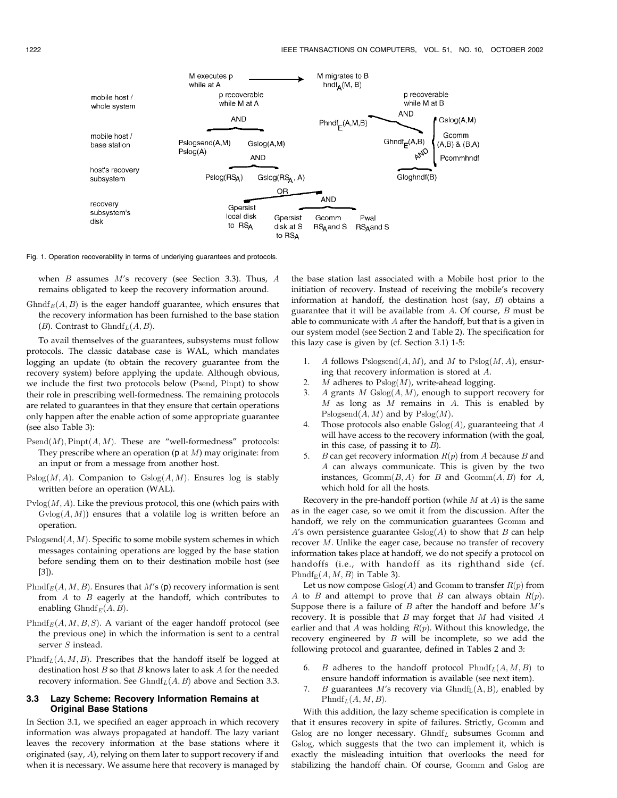

Fig. 1. Operation recoverability in terms of underlying guarantees and protocols.

when B assumes M's recovery (see Section 3.3). Thus, A remains obligated to keep the recovery information around.

 $\text{Ghndf}_E(A, B)$  is the eager handoff guarantee, which ensures that the recovery information has been furnished to the base station (B). Contrast to  $\text{Ghndf}_L(A, B)$ .

To avail themselves of the guarantees, subsystems must follow protocols. The classic database case is WAL, which mandates logging an update (to obtain the recovery guarantee from the recovery system) before applying the update. Although obvious, we include the first two protocols below (Psend, Pinpt) to show their role in prescribing well-formedness. The remaining protocols are related to guarantees in that they ensure that certain operations only happen after the enable action of some appropriate guarantee (see also Table 3):

- $Psend(M), Pinpt(A, M)$ . These are "well-formedness" protocols: They prescribe where an operation ( $p$  at  $M$ ) may originate: from an input or from a message from another host.
- $\text{Pslog}(M, A)$ . Companion to  $\text{Gslog}(A, M)$ . Ensures log is stably written before an operation (WAL).
- $Pvlog(M, A)$ . Like the previous protocol, this one (which pairs with  $Gvlog(A, M)$ ) ensures that a volatile log is written before an operation.
- $Pslogsend(A, M)$ . Specific to some mobile system schemes in which messages containing operations are logged by the base station before sending them on to their destination mobile host (see [3]).
- Phndf<sub>E</sub> $(A, M, B)$ . Ensures that M's (p) recovery information is sent from  $A$  to  $B$  eagerly at the handoff, which contributes to enabling  $Ghndf_E(A, B)$ .
- $Phndf_E(A, M, B, S)$ . A variant of the eager handoff protocol (see the previous one) in which the information is sent to a central server S instead.
- $Phndf<sub>L</sub>(A, M, B)$ . Prescribes that the handoff itself be logged at destination host  $B$  so that  $B$  knows later to ask  $A$  for the needed recovery information. See  $\text{Ghndf}_{L}(A, B)$  above and Section 3.3.

### 3.3 Lazy Scheme: Recovery Information Remains at Original Base Stations

In Section 3.1, we specified an eager approach in which recovery information was always propagated at handoff. The lazy variant leaves the recovery information at the base stations where it originated (say, A), relying on them later to support recovery if and when it is necessary. We assume here that recovery is managed by the base station last associated with a Mobile host prior to the initiation of recovery. Instead of receiving the mobile's recovery information at handoff, the destination host (say,  $B$ ) obtains a guarantee that it will be available from  $A$ . Of course,  $B$  must be able to communicate with  $A$  after the handoff, but that is a given in our system model (see Section 2 and Table 2). The specification for this lazy case is given by (cf. Section 3.1) 1-5:

- 1. A follows  $\text{Pslogsend}(A, M)$ , and M to  $\text{Pslog}(M, A)$ , ensuring that recovery information is stored at A.
- 2. *M* adheres to  $P\text{slog}(M)$ , write-ahead logging.
- 3. A grants  $M$  Gslog $(A, M)$ , enough to support recovery for  $M$  as long as  $M$  remains in  $A$ . This is enabled by  $\text{Pslogsend}(A, M)$  and by  $\text{Pslog}(M)$ .
- 4. Those protocols also enable  $\text{Gslog}(A)$ , guaranteeing that A will have access to the recovery information (with the goal, in this case, of passing it to  $B$ ).
- 5. B can get recovery information  $R(p)$  from A because B and A can always communicate. This is given by the two instances,  $Gcomm(B, A)$  for B and  $Gcomm(A, B)$  for A, which hold for all the hosts.

Recovery in the pre-handoff portion (while  $M$  at  $A$ ) is the same as in the eager case, so we omit it from the discussion. After the handoff, we rely on the communication guarantees Gcomm and A's own persistence guarantee  $\text{Gslog}(A)$  to show that B can help recover  $M$ . Unlike the eager case, because no transfer of recovery information takes place at handoff, we do not specify a protocol on handoffs (i.e., with handoff as its righthand side (cf.  $Phndf_E(A, M, B)$  in Table 3).

Let us now compose  $\text{Gslog}(A)$  and  $\text{Gcomm}$  to transfer  $R(p)$  from A to B and attempt to prove that B can always obtain  $R(p)$ . Suppose there is a failure of  $B$  after the handoff and before  $M$ 's recovery. It is possible that  $B$  may forget that  $M$  had visited  $A$ earlier and that A was holding  $R(p)$ . Without this knowledge, the recovery engineered by  $B$  will be incomplete, so we add the following protocol and guarantee, defined in Tables 2 and 3:

- 6. B adheres to the handoff protocol  $\text{Phndf}_L(A, M, B)$  to ensure handoff information is available (see next item).
- B guarantees M's recovery via  $Ghndf<sub>L</sub>(A, B)$ , enabled by  $Phndf_L(A, M, B).$

With this addition, the lazy scheme specification is complete in that it ensures recovery in spite of failures. Strictly, Gcomm and Gslog are no longer necessary.  $Ghndf_L$  subsumes  $Gcomm$  and Gslog, which suggests that the two can implement it, which is exactly the misleading intuition that overlooks the need for stabilizing the handoff chain. Of course, Gcomm and Gslog are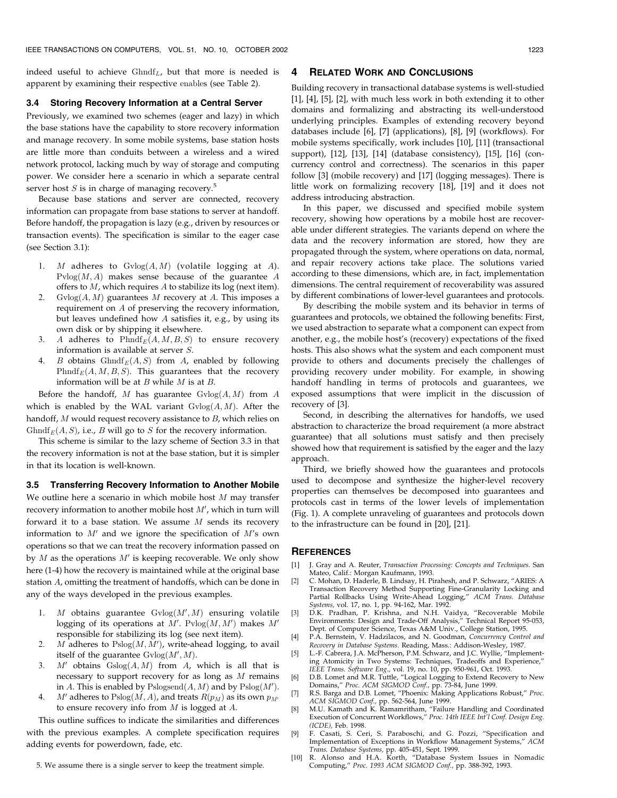indeed useful to achieve  $Ghndf_L$ , but that more is needed is apparent by examining their respective enables (see Table 2).

### 3.4 Storing Recovery Information at a Central Server

Previously, we examined two schemes (eager and lazy) in which the base stations have the capability to store recovery information and manage recovery. In some mobile systems, base station hosts are little more than conduits between a wireless and a wired network protocol, lacking much by way of storage and computing power. We consider here a scenario in which a separate central server host  $S$  is in charge of managing recovery.<sup>5</sup>

Because base stations and server are connected, recovery information can propagate from base stations to server at handoff. Before handoff, the propagation is lazy (e.g., driven by resources or transaction events). The specification is similar to the eager case (see Section 3.1):

- 1. *M* adheres to  $Gvlog(A, M)$  (volatile logging at *A*).  $Pvlog(M, A)$  makes sense because of the guarantee A offers to  $M$ , which requires  $A$  to stabilize its log (next item).
- 2. Gvlog $(A, M)$  guarantees M recovery at A. This imposes a requirement on A of preserving the recovery information, but leaves undefined how A satisfies it, e.g., by using its own disk or by shipping it elsewhere.
- 3. A adheres to  $Phndf_E(A, M, B, S)$  to ensure recovery information is available at server S.
- 4. *B* obtains  $\text{Ghndf}_E(A, S)$  from *A*, enabled by following  $Phndf_E(A, M, B, S)$ . This guarantees that the recovery information will be at  $B$  while  $M$  is at  $B$ .

Before the handoff, M has guarantee  $Gvlog(A, M)$  from A which is enabled by the WAL variant  $Gvlog(A, M)$ . After the handoff, M would request recovery assistance to B, which relies on Ghndf<sub>E</sub> $(A, S)$ , i.e., B will go to S for the recovery information.

This scheme is similar to the lazy scheme of Section 3.3 in that the recovery information is not at the base station, but it is simpler in that its location is well-known.

#### 3.5 Transferring Recovery Information to Another Mobile

We outline here a scenario in which mobile host  $M$  may transfer recovery information to another mobile host  $M'$ , which in turn will forward it to a base station. We assume  $M$  sends its recovery information to  $M'$  and we ignore the specification of  $M'$ s own operations so that we can treat the recovery information passed on by  $M$  as the operations  $M'$  is keeping recoverable. We only show here (1-4) how the recovery is maintained while at the original base station A, omitting the treatment of handoffs, which can be done in any of the ways developed in the previous examples.

- 1. M obtains guarantee  $Gvlog(M',M)$  ensuring volatile logging of its operations at M'.  $Pvlog(M, M')$  makes M' responsible for stabilizing its log (see next item).
- 2. *M* adheres to  $\text{Pslog}(M, M')$ , write-ahead logging, to avail itself of the guarantee  $\mathrm{Gvlog}(M',M)$ .
- 3.  $M'$  obtains  $Gslog(A, M)$  from A, which is all that is necessary to support recovery for as long as M remains in A. This is enabled by  $\text{Pslogsend}(A, M)$  and by  $\text{Pslog}(M')$ .
- 4. *M'* adheres to  $P\text{slog}(M, A)$ , and treats  $R(p_M)$  as its own  $p_{M'}$ to ensure recovery info from M is logged at A.

This outline suffices to indicate the similarities and differences with the previous examples. A complete specification requires adding events for powerdown, fade, etc.

## 4 RELATED WORK AND CONCLUSIONS

Building recovery in transactional database systems is well-studied [1], [4], [5], [2], with much less work in both extending it to other domains and formalizing and abstracting its well-understood underlying principles. Examples of extending recovery beyond databases include [6], [7] (applications), [8], [9] (workflows). For mobile systems specifically, work includes [10], [11] (transactional support), [12], [13], [14] (database consistency), [15], [16] (concurrency control and correctness). The scenarios in this paper follow [3] (mobile recovery) and [17] (logging messages). There is little work on formalizing recovery [18], [19] and it does not address introducing abstraction.

In this paper, we discussed and specified mobile system recovery, showing how operations by a mobile host are recoverable under different strategies. The variants depend on where the data and the recovery information are stored, how they are propagated through the system, where operations on data, normal, and repair recovery actions take place. The solutions varied according to these dimensions, which are, in fact, implementation dimensions. The central requirement of recoverability was assured by different combinations of lower-level guarantees and protocols.

By describing the mobile system and its behavior in terms of guarantees and protocols, we obtained the following benefits: First, we used abstraction to separate what a component can expect from another, e.g., the mobile host's (recovery) expectations of the fixed hosts. This also shows what the system and each component must provide to others and documents precisely the challenges of providing recovery under mobility. For example, in showing handoff handling in terms of protocols and guarantees, we exposed assumptions that were implicit in the discussion of recovery of [3].

Second, in describing the alternatives for handoffs, we used abstraction to characterize the broad requirement (a more abstract guarantee) that all solutions must satisfy and then precisely showed how that requirement is satisfied by the eager and the lazy approach.

Third, we briefly showed how the guarantees and protocols used to decompose and synthesize the higher-level recovery properties can themselves be decomposed into guarantees and protocols cast in terms of the lower levels of implementation (Fig. 1). A complete unraveling of guarantees and protocols down to the infrastructure can be found in [20], [21].

#### **REFERENCES**

- [1] J. Gray and A. Reuter, Transaction Processing: Concepts and Techniques. San Mateo, Calif.: Morgan Kaufmann, 1993.
- [2] C. Mohan, D. Haderle, B. Lindsay, H. Pirahesh, and P. Schwarz, "ARIES: A Transaction Recovery Method Supporting Fine-Granularity Locking and Partial Rollbacks Using Write-Ahead Logging," ACM Trans. Database
- Systems, vol. 17, no. 1, pp. 94-162, Mar. 1992. [3] D.K. Pradhan, P. Krishna, and N.H. Vaidya, "Recoverable Mobile Environments: Design and Trade-Off Analysis," Technical Report 95-053, Dept. of Computer Science, Texas A&M Univ., College Station, 1995.
- [4] P.A. Bernstein, V. Hadzilacos, and N. Goodman, Concurrency Control and
- Recovery in Database Systems. Reading, Mass.: Addison-Wesley, 1987. [5] L.-F. Cabrera, J.A. McPherson, P.M. Schwarz, and J.C. Wyllie, "Implementing Atomicity in Two Systems: Techniques, Tradeoffs and Experience,"
- IEEE Trans. Software Eng., vol. 19, no. 10, pp. 950-961, Oct. 1993. [6] D.B. Lomet and M.R. Tuttle, "Logical Logging to Extend Recovery to New Domains," Proc. ACM SIGMOD Conf., pp. 73-84, June 1999.
- [7] R.S. Barga and D.B. Lomet, "Phoenix: Making Applications Robust," Proc. ACM SIGMOD Conf., pp. 562-564, June 1999.
- [8] M.U. Kamath and K. Ramamritham, "Failure Handling and Coordinated Execution of Concurrent Workflows," Proc. 14th IEEE Int'l Conf. Design Eng. (ICDE), Feb. 1998.
- [9] F. Casati, S. Ceri, S. Paraboschi, and G. Pozzi, "Specification and Implementation of Exceptions in Workflow Management Systems," ACM Trans. Database Systems, pp. 405-451, Sept. 1999.
	- R. Alonso and H.A. Korth, "Database System Issues in Nomadic Computing," Proc. 1993 ACM SIGMOD Conf., pp. 388-392, 1993.

<sup>5.</sup> We assume there is a single server to keep the treatment simple.